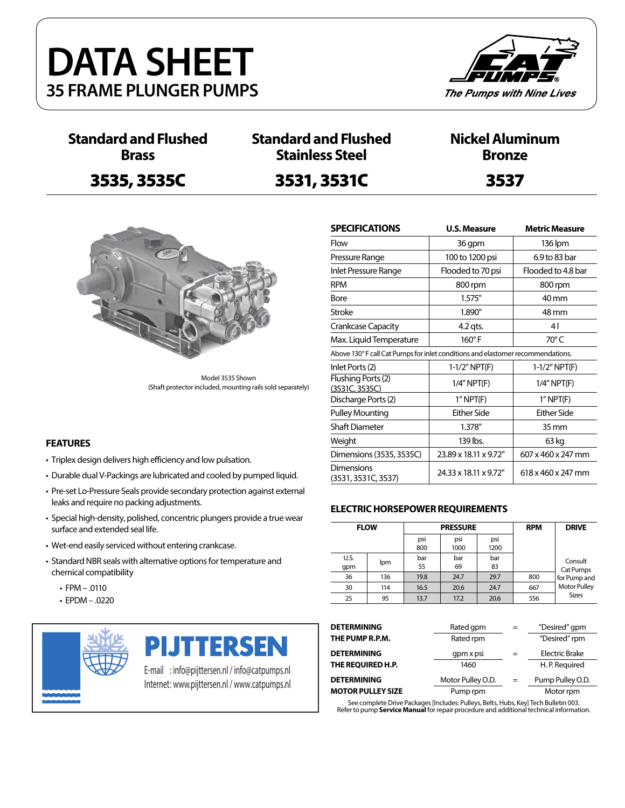



**Standard and Flushed Brass**

## 3535, 3535C 3531, 3531C 3537

### **Standard and Flushed Stainless Steel**

### **Nickel Aluminum Bronze**



Model 3535 Shown (Shaft protector included, mounting rails sold separately)

#### **FEATURES**

- Triplex design delivers high efficiency and low pulsation.
- Durable dual V-Packings are lubricated and cooled by pumped liquid.
- Pre-set Lo-Pressure Seals provide secondary protection against external leaks and require no packing adjustments.
- Special high-density, polished, concentric plungers provide a true wear surface and extended seal life.
- Wet-end easily serviced without entering crankcase.
- Standard NBR seals with alternative options for temperature and chemical compatibility
	- FPM .0110
	- EPDM .0220



**PIJTTERSEN** 

E-mail : info@pijttersen.nl / info@catpumps.nl Internet: www.pijttersen.nl / www.catpumps.nl

| <b>SPECIFICATIONS</b>                                                           | <b>U.S. Measure</b>   | <b>Metric Measure</b> |  |  |  |  |  |
|---------------------------------------------------------------------------------|-----------------------|-----------------------|--|--|--|--|--|
| Flow                                                                            | 36 gpm                | 136 lpm               |  |  |  |  |  |
| Pressure Range                                                                  | 100 to 1200 psi       | 6.9 to 83 bar         |  |  |  |  |  |
| Inlet Pressure Range                                                            | Flooded to 70 psi     | Flooded to 4.8 bar    |  |  |  |  |  |
| <b>RPM</b>                                                                      | 800 rpm               | 800 rpm               |  |  |  |  |  |
| Bore                                                                            | 1.575"                | 40 mm                 |  |  |  |  |  |
| <b>Stroke</b>                                                                   | 1.890"                | 48 mm                 |  |  |  |  |  |
| <b>Crankcase Capacity</b>                                                       | $4.2$ qts.            | 41                    |  |  |  |  |  |
| Max. Liquid Temperature                                                         | $160^\circ$ F         | $70^{\circ}$ C        |  |  |  |  |  |
| Above 130° F call Cat Pumps for inlet conditions and elastomer recommendations. |                       |                       |  |  |  |  |  |
| Inlet Ports (2)                                                                 | 1-1/2" NPT(F)         | $1-1/2''$ NPT(F)      |  |  |  |  |  |
| Flushing Ports (2)<br>(3531C, 3535C)                                            | 1/4" NPT(F)           | $1/4$ " NPT(F)        |  |  |  |  |  |
| Discharge Ports (2)                                                             | $1"$ NPT $(F)$        | $1"$ NPT $(F)$        |  |  |  |  |  |
| <b>Pulley Mounting</b>                                                          | <b>Either Side</b>    | Fither Side           |  |  |  |  |  |
| <b>Shaft Diameter</b>                                                           | 1.378"                | 35 mm                 |  |  |  |  |  |
| Weight                                                                          | 139 lbs.              | 63 kg                 |  |  |  |  |  |
| Dimensions (3535, 3535C)                                                        | 23.89 x 18.11 x 9.72" | 607 x 460 x 247 mm    |  |  |  |  |  |
| Dimensions<br>(3531, 3531C, 3537)                                               | 24.33 x 18.11 x 9.72" | 618 x 460 x 247 mm    |  |  |  |  |  |

#### **ELECTRIC HORSEPOWER REQUIREMENTS**

| <b>FLOW</b> |     |            | <b>PRESSURE</b> | <b>RPM</b>  | <b>DRIVE</b> |                      |
|-------------|-----|------------|-----------------|-------------|--------------|----------------------|
|             |     | psi<br>800 | psi<br>1000     | psi<br>1200 |              |                      |
| U.S.<br>qpm | lpm | bar<br>55  | bar<br>69       | bar<br>83   |              | Consult<br>Cat Pumps |
| 36          | 136 | 19.8       | 24.7            | 29.7        | 800          | for Pump and         |
| 30          | 114 | 16.5       | 20.6            | 24.7        | 667          | <b>Motor Pulley</b>  |
| 25          | 95  | 13.7       | 17.2            | 20.6        | 556          | <b>Sizes</b>         |

| <b>DETERMINING</b>       | Rated gpm         | $=$ | "Desired" gpm         |
|--------------------------|-------------------|-----|-----------------------|
| THE PUMP R.P.M.          | Rated rpm         |     | "Desired" rpm         |
| <b>DETERMINING</b>       | qpm x psi         | $=$ | <b>Electric Brake</b> |
| THE REQUIRED H.P.        | 1460              |     | H. P. Required        |
| <b>DETERMINING</b>       | Motor Pulley O.D. | $=$ | Pump Pulley O.D.      |
| <b>MOTOR PULLEY SIZE</b> | Pump rpm          |     | Motor rpm             |
|                          | .                 |     |                       |

See complete Drive Packages [Includes: Pulleys, Belts, Hubs, Key] Tech Bulletin 003. Refer to pump **Service Manual** for repair procedure and additional technical information.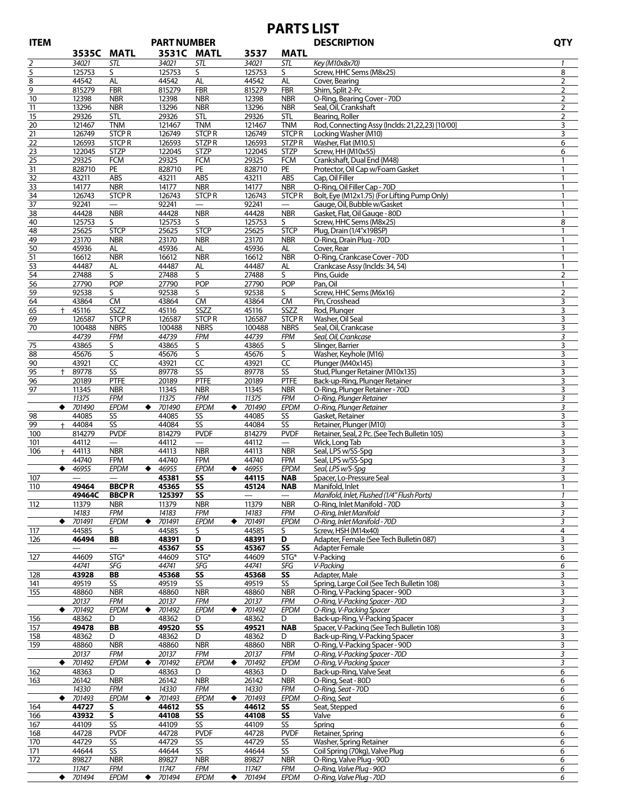# **PARTS LIST**

| <b>ITEM</b>      |                  | <b>PART NUMBER</b>       |                |                 |             |                          | <b>DESCRIPTION</b>                              | <b>QTY</b>     |
|------------------|------------------|--------------------------|----------------|-----------------|-------------|--------------------------|-------------------------------------------------|----------------|
|                  | 3535C            | <b>MATL</b>              | 3531C MATL     |                 | 3537        | <b>MATL</b>              |                                                 |                |
| 2                | 34021            | STL                      | 34021          | STL             | 34021       | <b>STL</b>               | Key (M10x8x70)                                  | $\mathbf{1}$   |
| 5                | 125753           | S                        | 125753         | S               | 125753      | S                        | Screw, HHC Sems (M8x25)                         | 8              |
| 8                | 44542            | AL                       | 44542          | AL              | 44542       | <b>AL</b>                | Cover, Bearing                                  | 2              |
| 9                | 815279           | <b>FBR</b>               | 815279         | <b>FBR</b>      | 815279      | <b>FBR</b>               | Shim, Split 2-Pc                                | 2              |
| 10               | 12398            | <b>NBR</b>               | 12398          | <b>NBR</b>      | 12398       | <b>NBR</b>               | O-Ring, Bearing Cover - 70D                     | 2              |
| 11               | 13296            | <b>NBR</b>               | 13296          | <b>NBR</b>      | 13296       | <b>NBR</b>               | Seal, Oil, Crankshaft                           | 2              |
| 15               | 29326            | <b>STL</b>               | 29326          | <b>STL</b>      | 29326       | <b>STL</b>               | Bearing, Roller                                 | 2              |
| 20               | 121467           | <b>TNM</b>               | 121467         | <b>TNM</b>      | 121467      | <b>TNM</b>               | Rod, Connecting Assy (Inclds: 21,22,23) [10/00] | 3              |
| 21               | 126749           | <b>STCPR</b>             | 126749         | <b>STCPR</b>    | 126749      | <b>STCPR</b>             | Locking Washer (M10)                            | 3              |
| 22               | 126593           | <b>STCPR</b>             | 126593         | <b>STZPR</b>    | 126593      | STZPR                    | Washer, Flat (M10.5)                            | 6              |
| 23               | 122045           | <b>STZP</b>              | 122045         | <b>STZP</b>     | 122045      | <b>STZP</b>              | Screw, HH (M10x55)                              | 6              |
| 25               | 29325            | <b>FCM</b>               | 29325          | <b>FCM</b>      | 29325       | <b>FCM</b>               | Crankshaft, Dual End (M48)                      | 1              |
| 31               | 828710           | PE                       | 828710         | PE              | 828710      | PE                       | Protector, Oil Cap w/Foam Gasket                | $\mathbf{1}$   |
| 32               | 43211            | ABS                      | 43211          | ABS             | 43211       | ABS                      | Cap, Oil Filler                                 | $\mathbf{1}$   |
| 33               | 14177            | <b>NBR</b>               | 14177          | <b>NBR</b>      | 14177       | <b>NBR</b>               | O-Ring, Oil Filler Cap - 70D                    | $\mathbf{1}$   |
| 34               | 126743           | <b>STCPR</b>             | 126743         | <b>STCPR</b>    | 126743      | <b>STCPR</b>             | Bolt, Eye (M12x1.75) (For Lifting Pump Only)    | $\mathbf{1}$   |
| 37               | 92241            |                          | 92241          |                 | 92241       | $\overline{\phantom{m}}$ | Gauge, Oil, Bubble w/Gasket                     | 1              |
|                  | 44428            | <b>NBR</b>               | 44428          | <b>NBR</b>      | 44428       | <b>NBR</b>               | Gasket, Flat, Oil Gauge - 80D                   | $\mathbf{1}$   |
| 38<br>40         | 125753           | S                        | 125753         | S               | 125753      | S                        | Screw, HHC Sems (M8x25)                         | 8              |
|                  | 25625            | <b>STCP</b>              |                | <b>STCP</b>     | 25625       | <b>STCP</b>              | Plug, Drain (1/4"x19BSP)                        | 1              |
| 48<br>49         | 23170            | <b>NBR</b>               | 25625<br>23170 | <b>NBR</b>      | 23170       | <b>NBR</b>               | O-Ring, Drain Plug - 70D                        | $\mathbf{1}$   |
| 50               | 45936            | AL                       | 45936          | AL              | 45936       | AL                       | Cover, Rear                                     | $\mathbf{1}$   |
| 51               | 16612            | <b>NBR</b>               |                | <b>NBR</b>      |             | <b>NBR</b>               | O-Ring, Crankcase Cover - 70D                   | $\mathbf{1}$   |
|                  |                  |                          | 16612          |                 | 16612       |                          | Crankcase Assy (Inclds: 34, 54)                 | 1              |
| 53               | 44487            | AL                       | 44487          | AL<br>S         | 44487       | AL<br>S.                 |                                                 |                |
| 54               | 27488            | S                        | 27488          |                 | 27488       | POP                      | Pins, Guide                                     | $\overline{2}$ |
| 56               | 27790            | <b>POP</b>               | 27790          | <b>POP</b>      | 27790       |                          | Pan, Oil                                        | 1              |
| 59               | 92538            | S.                       | 92538          | S               | 92538       | S                        | Screw. HHC Sems (M6x16)                         | $\overline{2}$ |
| 64               | 43864            | <b>CM</b>                | 43864          | <b>CM</b>       | 43864       | <b>CM</b>                | Pin, Crosshead                                  | 3              |
| 65<br>$^+$       | 45116            | SSZZ                     | 45116          | SSZZ            | 45116       | SSZZ                     | Rod, Plunger                                    | 3              |
| 69               | 126587           | <b>STCPR</b>             | 126587         | <b>STCPR</b>    | 126587      | <b>STCPR</b>             | Washer, Oil Seal                                | 3              |
| 70               | 100488           | <b>NBRS</b>              | 100488         | <b>NBRS</b>     | 100488      | <b>NBRS</b>              | Seal, Oil, Crankcase                            | 3              |
|                  | 44739            | <b>FPM</b>               | 44739          | <b>FPM</b>      | 44739       | <b>FPM</b>               | Seal, Oil, Crankcase                            | 3              |
| 75               | 43865            | S                        | 43865          | S               | 43865       | S                        | Slinger, Barrier                                | 3              |
| 88               | 45676            | S                        | 45676          | S               | 45676       | S                        | Washer, Keyhole (M16)                           | 3              |
| 90               | 43921            | $\overline{cc}$          | 43921          | $\overline{CC}$ | 43921       | $\overline{CC}$          | Plunger (M40x145)                               | 3              |
| 95<br>$\ddagger$ | 89778            | SS                       | 89778          | SS              | 89778       | SS                       | Stud, Plunger Retainer (M10x135)                | 3              |
| 96               | 20189            | <b>PTFE</b>              | 20189          | <b>PTFE</b>     | 20189       | <b>PTFE</b>              | Back-up-Ring, Plunger Retainer                  | 3              |
| 97               | 11345            | <b>NBR</b>               | 11345          | <b>NBR</b>      | 11345       | <b>NBR</b>               | O-Ring, Plunger Retainer - 70D                  | 3              |
|                  | 11375            | <b>FPM</b>               | 11375          | <b>FPM</b>      | 11375       | <b>FPM</b>               | O-Ring, Plunger Retainer                        | 3              |
|                  | $\bullet$ 701490 | <b>EPDM</b>              | 701490<br>٠    | EPDM            | ٠<br>701490 | <b>EPDM</b>              | O-Ring, Plunger Retainer                        | 3              |
| 98               | 44085            | SS                       | 44085          | SS              | 44085       | SS                       | Gasket, Retainer                                | 3              |
| 99<br>$+$        | 44084            | SS                       | 44084          | SS              | 44084       | SS                       | Retainer, Plunger (M10)                         | 3              |
| 100              | 814279           | <b>PVDF</b>              | 814279         | <b>PVDF</b>     | 814279      | <b>PVDF</b>              | Retainer, Seal, 2 Pc. (See Tech Bulletin 105)   | 3              |
| 101              | 44112            | $\qquad \qquad -$        | 44112          |                 | 44112       | $\overline{\phantom{m}}$ | Wick, Long Tab                                  | 3              |
| $+$<br>106       | 44113            | <b>NBR</b>               | 44113          | <b>NBR</b>      | 44113       | <b>NBR</b>               | Seal, LPS w/SS-Spg                              | 3              |
|                  | 44740            | <b>FPM</b>               | 44740          | <b>FPM</b>      | 44740       | <b>FPM</b>               | Seal, LPS w/SS-Spg                              | 3              |
| $\bullet$        | 46955            | <b>EPDM</b>              | 46955<br>٠     | <b>EPDM</b>     | 46955<br>٠  | EPDM                     | Seal, LPS w/S-Spq                               | 3              |
| 107              |                  |                          | 45381          | SS              | 44115       | <b>NAB</b>               | Spacer, Lo-Pressure Seal                        | 3              |
| 110              | 49464            | <b>BBCPR</b>             | 45365          | SS              | 45124       | <b>NAB</b>               | Manifold, Inlet                                 | 1              |
|                  | 49464C           | <b>BBCPR</b>             | 125397         | SS              |             |                          | Manifold, Inlet, Flushed (1/4" Flush Ports)     | $\mathbf{1}$   |
| 112              | 11379            | <b>NBR</b>               | 11379          | <b>NBR</b>      | 11379       | <b>NBR</b>               | O-Ring, Inlet Manifold - 70D                    | 3              |
|                  | 14183            | <b>FPM</b>               | 14183          | <b>FPM</b>      | 14183       | <b>FPM</b>               | O-Ring, Inlet Manifold                          | 3              |
| ٠                | 701491           | <b>EPDM</b>              | 701491<br>٠    | EPDM            | 701491<br>٠ | <b>EPDM</b>              | O-Ring, Inlet Manifold - 70D                    | 3              |
| 117              | 44585            | S.                       | 44585          | S.              | 44585       | S                        | Screw, HSH (M14x40)                             | 4              |
| 126              | 46494            | BB                       | 48391          | D               | 48391       | D                        | Adapter, Female (See Tech Bulletin 087)         | 3              |
|                  |                  | $\overline{\phantom{0}}$ | 45367          | SS              | 45367       | SS                       | Adapter Female                                  | 3              |
| 127              | 44609            | STG*                     | 44609          | STG*            | 44609       | STG*                     | V-Packing                                       | 6              |
|                  | 44741            | SFG                      | 44741          | SFG             | 44741       | SFG                      | V-Packing                                       | 6              |
| 128              | 43928            | BB                       | 45368          | SS              | 45368       | SS                       | Adapter, Male                                   | 3              |
| 141              | 49519            | SS                       | 49519          | SS              | 49519       | SS                       | Spring, Large Coil (See Tech Bulletin 108)      | 3              |
| 155              | 48860            | <b>NBR</b>               | 48860          | <b>NBR</b>      | 48860       | <b>NBR</b>               | O-Ring, V-Packing Spacer - 90D                  | 3              |
|                  | 20137            | <b>FPM</b>               | 20137          | <b>FPM</b>      | 20137       | <b>FPM</b>               | O-Ring, V-Packing Spacer - 70D                  | 3              |
|                  | $\bullet$ 701492 | EPDM                     | ٠<br>701492    | <b>EPDM</b>     | 701492<br>٠ | <b>EPDM</b>              | O-Ring, V-Packing Spacer                        | 3              |
| 156              | 48362            | D                        | 48362          | D               | 48362       | D                        | Back-up-Ring, V-Packing Spacer                  | 3              |
| 157              | 49478            | BB                       | 49520          | SS              | 49521       | <b>NAB</b>               | Spacer, V-Packing (See Tech Bulletin 108)       | 3              |
| 158              | 48362            | D                        | 48362          | D               | 48362       | D                        | Back-up-Ring, V-Packing Spacer                  | 3              |
| 159              | 48860            | <b>NBR</b>               | 48860          | <b>NBR</b>      | 48860       | <b>NBR</b>               | O-Ring, V-Packing Spacer - 90D                  | 3              |
|                  | 20137            | <b>FPM</b>               | 20137          | <b>FPM</b>      | 20137       | <b>FPM</b>               | O-Ring, V-Packing Spacer - 70D                  | 3              |
| ٠                | 701492           | EPDM                     | 701492<br>٠    | <b>EPDM</b>     | 701492<br>٠ | <b>EPDM</b>              | O-Ring, V-Packing Spacer                        | 3              |
| 162              | 48363            | D                        | 48363          | D               | 48363       | D                        | Back-up-Ring, Valve Seat                        | 6              |
| 163              | 26142            | <b>NBR</b>               | 26142          | <b>NBR</b>      | 26142       | <b>NBR</b>               | O-Ring, Seat - 80D                              | 6              |
|                  | 14330            | <b>FPM</b>               | 14330          | <b>FPM</b>      | 14330       | <b>FPM</b>               | O-Ring, Seat - 70D                              | 6              |
| ٠                | 701493           | EPDM                     | ٠<br>701493    | <b>EPDM</b>     | 701493<br>٠ | EPDM                     | O-Ring, Seat                                    | 6              |
| 164              | 44727            | s                        | 44612          | SS              | 44612       | SS                       | Seat, Stepped                                   | 6              |
| 166              | 43932            | S                        | 44108          | SS              | 44108       | SS                       | Valve                                           | 6              |
| 167              | 44109            | SS                       | 44109          | SS              | 44109       | S <sub>S</sub>           | Spring                                          | 6              |
| 168              | 44728            | <b>PVDF</b>              | 44728          | <b>PVDF</b>     | 44728       | <b>PVDF</b>              | Retainer, Spring                                | 6              |
| 170              | 44729            | SS                       | 44729          | SS              | 44729       | SS                       | Washer, Spring Retainer                         | 6              |
| 171              | 44644            | SS <sub>1</sub>          | 44644          | SS              | 44644       | SS                       | Coil Spring (70kg), Valve Plug                  | 6              |
| 172              | 89827            | <b>NBR</b>               | 89827          | <b>NBR</b>      | 89827       | <b>NBR</b>               | O-Ring, Valve Plug - 90D                        | 6              |
|                  | 11747            | <b>FPM</b>               | 11747          | FPM             | 11747       | <b>FPM</b>               | O-Ring, Valve Plug - 90D                        | 6              |
| ٠                | 701494           | EPDM                     | 701494<br>٠    | EPDM            | 701494<br>٠ | EPDM                     | O-Ring, Valve Plug - 70D                        | 6              |
|                  |                  |                          |                |                 |             |                          |                                                 |                |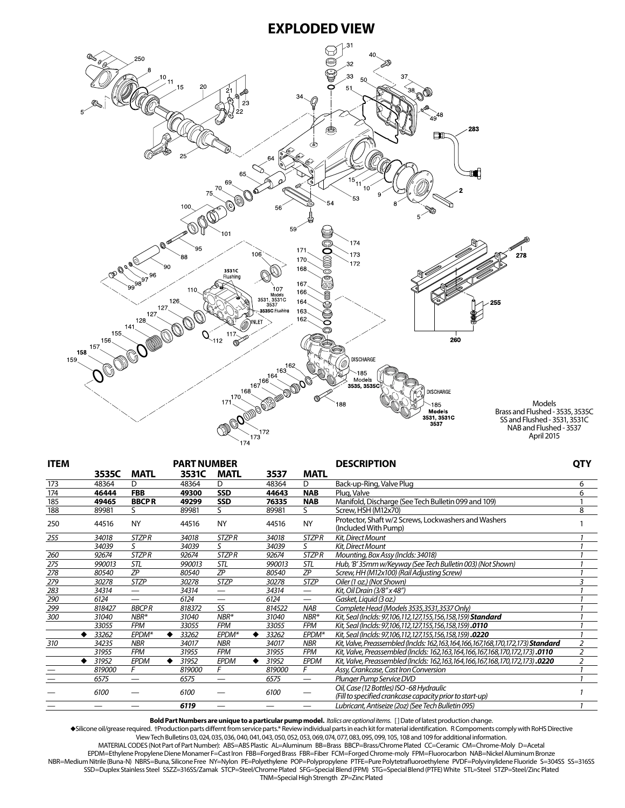### **EXPLODED VIEW**



| <b>ITEM</b> |        |                          | <b>PART NUMBER</b> |                   |        |        |              | <b>DESCRIPTION</b>                                                                                  |                |
|-------------|--------|--------------------------|--------------------|-------------------|--------|--------|--------------|-----------------------------------------------------------------------------------------------------|----------------|
|             | 3535C  | <b>MATL</b>              | 3531C              | <b>MATL</b>       |        | 3537   | <b>MATL</b>  |                                                                                                     | <b>QTY</b>     |
| 173         | 48364  | D                        | 48364              | D                 | 48364  |        | D            | Back-up-Ring, Valve Plug                                                                            | 6              |
| 174         | 46444  | <b>FBB</b>               | 49300              | <b>SSD</b>        |        | 44643  | <b>NAB</b>   | Plug, Valve                                                                                         | 6              |
| 185         | 49465  | <b>BBCPR</b>             | 49299              | <b>SSD</b>        | 76335  |        | <b>NAB</b>   | Manifold, Discharge (See Tech Bulletin 099 and 109)                                                 |                |
| 188         | 89981  | S.                       | 89981              | S.                | 89981  |        | S.           | Screw, HSH (M12x70)                                                                                 | 8              |
| 250         | 44516  | <b>NY</b>                | 44516              | <b>NY</b>         | 44516  |        | <b>NY</b>    | Protector, Shaft w/2 Screws, Lockwashers and Washers<br>(Included With Pump)                        |                |
| 255         | 34018  | <b>STZPR</b>             | 34018              | <b>STZPR</b>      | 34018  |        | <b>STZPR</b> | Kit, Direct Mount                                                                                   |                |
|             | 34039  | $\varsigma$              | 34039              | S                 | 34039  |        | S            | Kit, Direct Mount                                                                                   |                |
| 260         | 92674  | <b>STZPR</b>             | 92674              | <b>STZPR</b>      | 92674  |        | <b>STZPR</b> | Mounting, Box Assy (Inclds: 34018)                                                                  |                |
| 275         | 990013 | STL                      | 990013             | <b>STL</b>        | 990013 |        | STL          | Hub, 'B' 35mm w/Keyway (See Tech Bulletin 003) (Not Shown)                                          |                |
| 278         | 80540  | <b>ZP</b>                | 80540              | <b>ZP</b>         | 80540  |        | <b>ZP</b>    | Screw, HH (M12x100) (Rail Adjusting Screw)                                                          |                |
| 279         | 30278  | <b>STZP</b>              | 30278              | <b>STZP</b>       | 30278  |        | STZP         | Oiler (1 oz.) (Not Shown)                                                                           |                |
| 283         | 34314  | $\overline{\phantom{0}}$ | 34314              |                   | 34314  |        |              | Kit, Oil Drain (3/8" x 48")                                                                         |                |
| 290         | 6124   | $\overline{\phantom{0}}$ | 6124               |                   | 6124   |        |              | Gasket, Liquid (3 oz.)                                                                              |                |
| 299         | 818427 | <b>BBCPR</b>             | 818372             | SS                | 814522 |        | <b>NAB</b>   | Complete Head (Models 3535,3531,3537 Only)                                                          |                |
| 300         | 31040  | $NBR*$                   | 31040              | $NBR*$            | 31040  |        | $NBR*$       | Kit, Seal (Inclds: 97,106,112,127,155,156,158,159) <b>Standard</b>                                  |                |
|             | 33055  | <b>FPM</b>               | 33055              | <b>FPM</b>        | 33055  |        | <b>FPM</b>   | Kit, Seal (Inclds: 97,106,112,127,155,156,158,159).0110                                             |                |
|             | 33262  | EPDM*                    | 33262              | EPDM <sup>*</sup> | 33262  |        | EPDM*        | Kit, Seal (Inclds: 97,106,112,127,155,156,158,159).0220                                             |                |
| 310         | 34235  | <b>NBR</b>               | 34017              | <b>NBR</b>        | 34017  |        | <b>NBR</b>   | Kit, Valve, Preassembled (Inclds: 162,163,164,166,167,168,170,172,173) Standard                     | $\overline{2}$ |
|             | 31955  | <b>FPM</b>               | 31955              | <b>FPM</b>        | 31955  |        | <b>FPM</b>   | Kit, Valve, Preassembled (Inclds: 162,163,164,166,167,168,170,172,173).0110                         |                |
|             | 31952  | <b>EPDM</b>              | 31952              | EPDM              | 31952  |        | <b>EPDM</b>  | Kit, Valve, Preassembled (Inclds: 162,163,164,166,167,168,170,172,173).0220                         |                |
|             | 819000 | F                        | 819000             | F                 |        | 819000 | F            | Assy, Crankcase, Cast Iron Conversion                                                               |                |
|             | 6575   | $\overline{\phantom{0}}$ | 6575               |                   | 6575   |        |              | Plunger Pump Service DVD                                                                            |                |
|             | 6100   |                          | 6100               |                   | 6100   |        |              | Oil, Case (12 Bottles) ISO-68 Hydraulic<br>(Fill to specified crankcase capacity prior to start-up) |                |
|             |        |                          | 6119               |                   |        |        | —            | Lubricant, Antiseize (20z) (See Tech Bulletin 095)                                                  |                |

**Bold Part Numbers are unique to a particular pump model.** *Italics are optional items.* [ ] Date of latest production change.

uSilicone oil/grease required. †Production parts differnt from service parts.\* Review individual parts in each kit for material identification. R Compoments comply with RoHS Directive

View Tech Bulletins 03, 024, 035, 036, 040, 041, 043, 050, 052, 053, 069, 074, 077, 083, 095, 099, 105, 108 and 109 for additional information. MATERIAL CODES (Not Part of Part Number): ABS=ABS Plastic AL=Aluminum BB=Brass BBCP=Brass/Chrome Plated CC=Ceramic CM=Chrome-Moly D=Acetal EPDM=Ethylene Propylene Diene Monamer F=Cast Iron FBB=Forged Brass FBR=Fiber FCM=Forged Chrome-moly FPM=Fluorocarbon NAB=Nickel Aluminum Bronze NBR=Medium Nitrile (Buna-N) NBRS=Buna, Silicone Free NY=Nylon PE=Polyethylene POP=Polypropylene PTFE=Pure Polytetrafluoroethylene PVDF=Polyvinylidene Fluoride S=304SS SS=316SS SSD=Duplex Stainless Steel SSZZ=316SS/Zamak STCP=Steel/Chrome Plated SFG=Special Blend (FPM) STG=Special Blend (PTFE) White STL=Steel STZP=Steel/Zinc Plated TNM=Special High Strength ZP=Zinc Plated